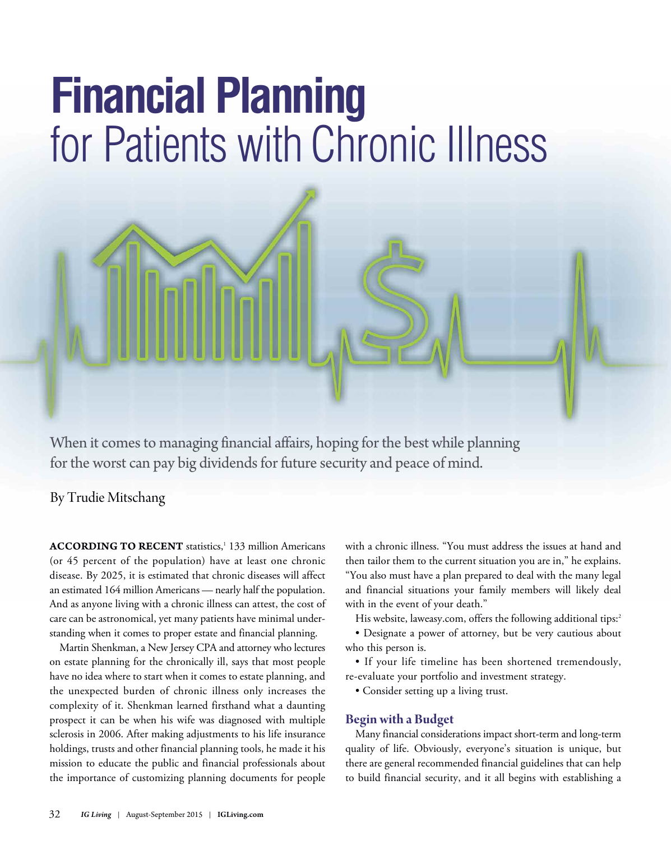# **Financial Planning** for Patients with Chronic Illness



By Trudie Mitschang

**ACCORDING TO RECENT** statistics, <sup>1</sup> 133 million Americans (or 45 percent of the population) have at least one chronic disease. By 2025, it is estimated that chronic diseases will affect an estimated 164 million Americans — nearly half the population. And as anyone living with a chronic illness can attest, the cost of care can be astronomical, yet many patients have minimal understanding when it comes to proper estate and financial planning.

Martin Shenkman, a New Jersey CPA and attorney who lectures on estate planning for the chronically ill, says that most people have no idea where to start when it comes to estate planning, and the unexpected burden of chronic illness only increases the complexity of it. Shenkman learned firsthand what a daunting prospect it can be when his wife was diagnosed with multiple sclerosis in 2006. After making adjustments to his life insurance holdings, trusts and other financial planning tools, he made it his mission to educate the public and financial professionals about the importance of customizing planning documents for people

with a chronic illness. "You must address the issues at hand and then tailor them to the current situation you are in," he explains. "You also must have a plan prepared to deal with the many legal and financial situations your family members will likely deal with in the event of your death."

His website, laweasy.com, offers the following additional tips: 2

• Designate a power of attorney, but be very cautious about who this person is.

• If your life timeline has been shortened tremendously, re-evaluate your portfolio and investment strategy.

• Consider setting up a living trust.

## **Begin with a Budget**

Many financial considerations impact short-term and long-term quality of life. Obviously, everyone's situation is unique, but there are general recommended financial guidelines that can help to build financial security, and it all begins with establishing a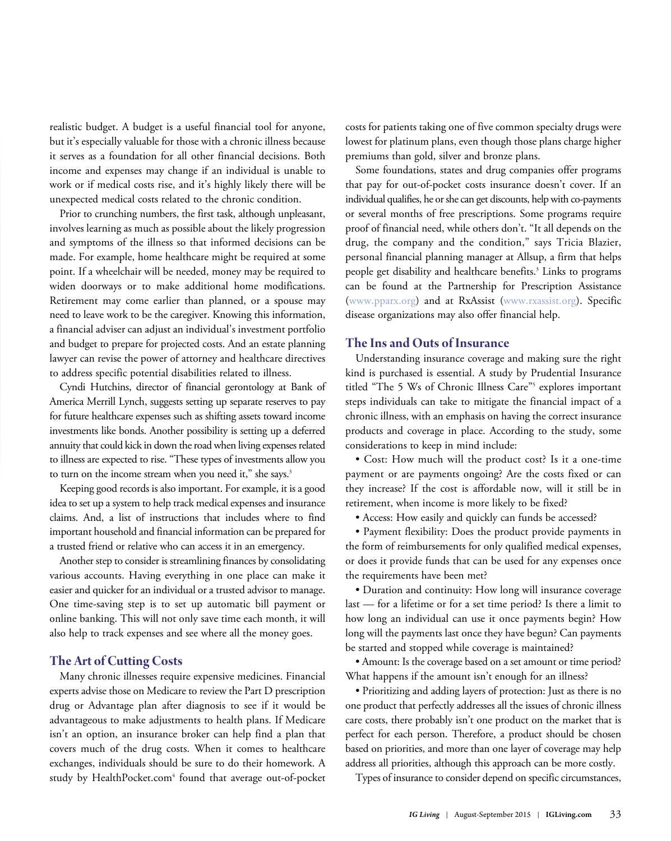realistic budget. A budget is a useful financial tool for anyone, but it's especially valuable for those with a chronic illness because it serves as a foundation for all other financial decisions. Both income and expenses may change if an individual is unable to work or if medical costs rise, and it's highly likely there will be unexpected medical costs related to the chronic condition.

Prior to crunching numbers, the first task, although unpleasant, involves learning as much as possible about the likely progression and symptoms of the illness so that informed decisions can be made. For example, home healthcare might be required at some point. If a wheelchair will be needed, money may be required to widen doorways or to make additional home modifications. Retirement may come earlier than planned, or a spouse may need to leave work to be the caregiver. Knowing this information, a financial adviser can adjust an individual's investment portfolio and budget to prepare for projected costs. And an estate planning lawyer can revise the power of attorney and healthcare directives to address specific potential disabilities related to illness.

Cyndi Hutchins, director of financial gerontology at Bank of America Merrill Lynch, suggests setting up separate reserves to pay for future healthcare expenses such as shifting assets toward income investments like bonds. Another possibility is setting up a deferred annuity that could kick in down the road when living expenses related to illness are expected to rise. "These types of investments allow you to turn on the income stream when you need it," she says.<sup>3</sup>

Keeping good records is also important. For example, it is a good idea to set up a system to help track medical expenses and insurance claims. And, a list of instructions that includes where to find important household and financial information can be prepared for a trusted friend or relative who can access it in an emergency.

Another step to consider is streamlining finances by consolidating various accounts. Having everything in one place can make it easier and quicker for an individual or a trusted advisor to manage. One time-saving step is to set up automatic bill payment or online banking. This will not only save time each month, it will also help to track expenses and see where all the money goes.

# **The Art of Cutting Costs**

Many chronic illnesses require expensive medicines. Financial experts advise those on Medicare to review the Part D prescription drug or Advantage plan after diagnosis to see if it would be advantageous to make adjustments to health plans. If Medicare isn't an option, an insurance broker can help find a plan that covers much of the drug costs. When it comes to healthcare exchanges, individuals should be sure to do their homework. A study by HealthPocket.com<sup>4</sup> found that average out-of-pocket costs for patients taking one of five common specialty drugs were lowest for platinum plans, even though those plans charge higher premiums than gold, silver and bronze plans.

Some foundations, states and drug companies offer programs that pay for out-of-pocket costs insurance doesn't cover. If an individual qualifies, he or she can get discounts, help with co-payments or several months of free prescriptions. Some programs require proof of financial need, while others don't. "It all depends on the drug, the company and the condition," says Tricia Blazier, personal financial planning manager at Allsup, a firm that helps people get disability and healthcare benefits. <sup>3</sup> Links to programs can be found at the Partnership for Prescription Assistance [\(www.pparx.org\)](https://www.pparx.org/) and at RxAssist [\(www.rxassist.org\)](http://rxassist.org/). Specific disease organizations may also offer financial help.

# **The Ins and Outs of Insurance**

Understanding insurance coverage and making sure the right kind is purchased is essential. A study by Prudential Insurance titled "The 5 Ws of Chronic Illness Care"<sup>5</sup> explores important steps individuals can take to mitigate the financial impact of a chronic illness, with an emphasis on having the correct insurance products and coverage in place. According to the study, some considerations to keep in mind include:

• Cost: How much will the product cost? Is it a one-time payment or are payments ongoing? Are the costs fixed or can they increase? If the cost is affordable now, will it still be in retirement, when income is more likely to be fixed?

• Access: How easily and quickly can funds be accessed?

• Payment flexibility: Does the product provide payments in the form of reimbursements for only qualified medical expenses, or does it provide funds that can be used for any expenses once the requirements have been met?

• Duration and continuity: How long will insurance coverage last — for a lifetime or for a set time period? Is there a limit to how long an individual can use it once payments begin? How long will the payments last once they have begun? Can payments be started and stopped while coverage is maintained?

• Amount: Is the coverage based on a set amount or time period? What happens if the amount isn't enough for an illness?

• Prioritizing and adding layers of protection: Just as there is no one product that perfectly addresses all the issues of chronic illness care costs, there probably isn't one product on the market that is perfect for each person. Therefore, a product should be chosen based on priorities, and more than one layer of coverage may help address all priorities, although this approach can be more costly.

Types of insurance to consider depend on specific circumstances,